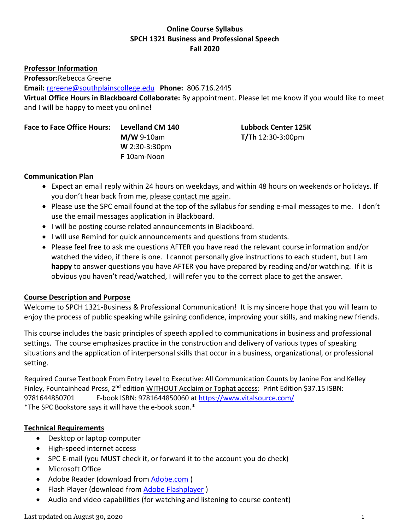# **Online Course Syllabus SPCH 1321 Business and Professional Speech Fall 2020**

**Professor Information**

**Professor:**Rebecca Greene

**Email:** rgreene@southplainscollege.edu **Phone:** 806.716.2445

**Virtual Office Hours in Blackboard Collaborate:** By appointment. Please let me know if you would like to meet and I will be happy to meet you online!

# **Face to Face Office Hours: Levelland CM 140 Lubbock Center 125K W** 2:30-3:30pm **F** 10am-Noon

**M/W** 9-10am **T/Th** 12:30-3:00pm

# **Communication Plan**

- Expect an email reply within 24 hours on weekdays, and within 48 hours on weekends or holidays. If you don't hear back from me, please contact me again.
- Please use the SPC email found at the top of the syllabus for sending e-mail messages to me. I don't use the email messages application in Blackboard.
- I will be posting course related announcements in Blackboard.
- I will use Remind for quick announcements and questions from students.
- Please feel free to ask me questions AFTER you have read the relevant course information and/or watched the video, if there is one. I cannot personally give instructions to each student, but I am **happy** to answer questions you have AFTER you have prepared by reading and/or watching. If it is obvious you haven't read/watched, I will refer you to the correct place to get the answer.

# **Course Description and Purpose**

Welcome to SPCH 1321-Business & Professional Communication! It is my sincere hope that you will learn to enjoy the process of public speaking while gaining confidence, improving your skills, and making new friends.

This course includes the basic principles of speech applied to communications in business and professional settings. The course emphasizes practice in the construction and delivery of various types of speaking situations and the application of interpersonal skills that occur in a business, organizational, or professional setting.

Required Course Textbook From Entry Level to Executive: All Communication Counts by Janine Fox and Kelley Finley, Fountainhead Press, 2<sup>nd</sup> edition WITHOUT Acclaim or Tophat access: Print Edition \$37.15 ISBN: 9781644850701 E-book ISBN: 9781644850060 at [https://www.vitalsource.com/](https://nam02.safelinks.protection.outlook.com/?url=https%3A%2F%2Fwww.vitalsource.com%2F&data=01%7C01%7Crgreene%40southplainscollege.edu%7C7034b13f96da4c1fe1d208d845395f5b%7C6d91b166cf6a45e99e22a02625d082a9%7C0&sdata=bXkMh%2BlAL9kvYhyfXB6Hipq6x2M0cFUfekjlSyRzY6U%3D&reserved=0) \*The SPC Bookstore says it will have the e-book soon.\*

# **Technical Requirements**

- Desktop or laptop computer
- High-speed internet access
- SPC E-mail (you MUST check it, or forward it to the account you do check)
- Microsoft Office
- Adobe Reader (download from [Adobe.com](http://get.adobe.com/reader) )
- Flash Player (download from [Adobe Flashplayer](http://get.adobe.com/flashplayer/))
- Audio and video capabilities (for watching and listening to course content)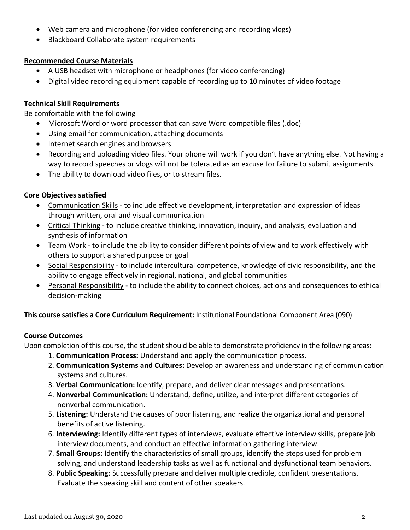- Web camera and microphone (for video conferencing and recording vlogs)
- Blackboard Collaborate system requirements

# **Recommended Course Materials**

- A USB headset with microphone or headphones (for video conferencing)
- Digital video recording equipment capable of recording up to 10 minutes of video footage

# **Technical Skill Requirements**

Be comfortable with the following

- Microsoft Word or word processor that can save Word compatible files (.doc)
- Using email for communication, attaching documents
- Internet search engines and browsers
- Recording and uploading video files. Your phone will work if you don't have anything else. Not having a way to record speeches or vlogs will not be tolerated as an excuse for failure to submit assignments.
- The ability to download video files, or to stream files.

# **Core Objectives satisfied**

- Communication Skills to include effective development, interpretation and expression of ideas through written, oral and visual communication
- Critical Thinking to include creative thinking, innovation, inquiry, and analysis, evaluation and synthesis of information
- Team Work to include the ability to consider different points of view and to work effectively with others to support a shared purpose or goal
- Social Responsibility to include intercultural competence, knowledge of civic responsibility, and the ability to engage effectively in regional, national, and global communities
- Personal Responsibility to include the ability to connect choices, actions and consequences to ethical decision-making

# **This course satisfies a Core Curriculum Requirement:** Institutional Foundational Component Area (090)

# **Course Outcomes**

Upon completion of this course, the student should be able to demonstrate proficiency in the following areas:

- 1. **Communication Process:** Understand and apply the communication process.
- 2. **Communication Systems and Cultures:** Develop an awareness and understanding of communication systems and cultures.
- 3. **Verbal Communication:** Identify, prepare, and deliver clear messages and presentations.
- 4. **Nonverbal Communication:** Understand, define, utilize, and interpret different categories of nonverbal communication.
- 5. **Listening:** Understand the causes of poor listening, and realize the organizational and personal benefits of active listening.
- 6. **Interviewing:** Identify different types of interviews, evaluate effective interview skills, prepare job interview documents, and conduct an effective information gathering interview.
- 7. **Small Groups:** Identify the characteristics of small groups, identify the steps used for problem solving, and understand leadership tasks as well as functional and dysfunctional team behaviors.
- 8. **Public Speaking:** Successfully prepare and deliver multiple credible, confident presentations. Evaluate the speaking skill and content of other speakers.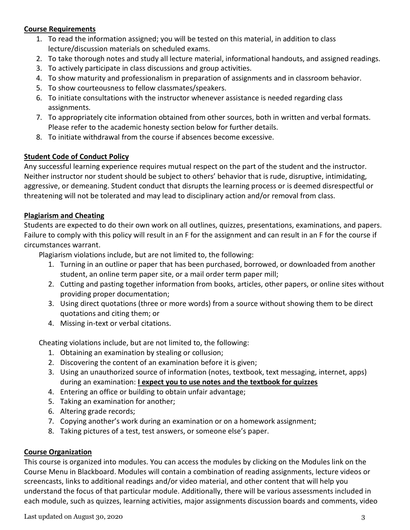## **Course Requirements**

- 1. To read the information assigned; you will be tested on this material, in addition to class lecture/discussion materials on scheduled exams.
- 2. To take thorough notes and study all lecture material, informational handouts, and assigned readings.
- 3. To actively participate in class discussions and group activities.
- 4. To show maturity and professionalism in preparation of assignments and in classroom behavior.
- 5. To show courteousness to fellow classmates/speakers.
- 6. To initiate consultations with the instructor whenever assistance is needed regarding class assignments.
- 7. To appropriately cite information obtained from other sources, both in written and verbal formats. Please refer to the academic honesty section below for further details.
- 8. To initiate withdrawal from the course if absences become excessive.

## **Student Code of Conduct Policy**

Any successful learning experience requires mutual respect on the part of the student and the instructor. Neither instructor nor student should be subject to others' behavior that is rude, disruptive, intimidating, aggressive, or demeaning. Student conduct that disrupts the learning process or is deemed disrespectful or threatening will not be tolerated and may lead to disciplinary action and/or removal from class.

## **Plagiarism and Cheating**

Students are expected to do their own work on all outlines, quizzes, presentations, examinations, and papers. Failure to comply with this policy will result in an F for the assignment and can result in an F for the course if circumstances warrant.

Plagiarism violations include, but are not limited to, the following:

- 1. Turning in an outline or paper that has been purchased, borrowed, or downloaded from another student, an online term paper site, or a mail order term paper mill;
- 2. Cutting and pasting together information from books, articles, other papers, or online sites without providing proper documentation;
- 3. Using direct quotations (three or more words) from a source without showing them to be direct quotations and citing them; or
- 4. Missing in-text or verbal citations.

Cheating violations include, but are not limited to, the following:

- 1. Obtaining an examination by stealing or collusion;
- 2. Discovering the content of an examination before it is given;
- 3. Using an unauthorized source of information (notes, textbook, text messaging, internet, apps) during an examination: **I expect you to use notes and the textbook for quizzes**
- 4. Entering an office or building to obtain unfair advantage;
- 5. Taking an examination for another;
- 6. Altering grade records;
- 7. Copying another's work during an examination or on a homework assignment;
- 8. Taking pictures of a test, test answers, or someone else's paper.

# **Course Organization**

This course is organized into modules. You can access the modules by clicking on the Modules link on the Course Menu in Blackboard. Modules will contain a combination of reading assignments, lecture videos or screencasts, links to additional readings and/or video material, and other content that will help you understand the focus of that particular module. Additionally, there will be various assessments included in each module, such as quizzes, learning activities, major assignments discussion boards and comments, video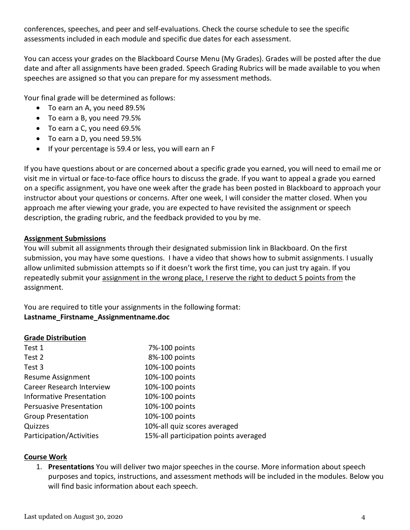conferences, speeches, and peer and self-evaluations. Check the course schedule to see the specific assessments included in each module and specific due dates for each assessment.

You can access your grades on the Blackboard Course Menu (My Grades). Grades will be posted after the due date and after all assignments have been graded. Speech Grading Rubrics will be made available to you when speeches are assigned so that you can prepare for my assessment methods.

Your final grade will be determined as follows:

- To earn an A, you need 89.5%
- To earn a B, you need 79.5%
- To earn a C, you need 69.5%
- To earn a D, you need 59.5%
- If your percentage is 59.4 or less, you will earn an F

If you have questions about or are concerned about a specific grade you earned, you will need to email me or visit me in virtual or face-to-face office hours to discuss the grade. If you want to appeal a grade you earned on a specific assignment, you have one week after the grade has been posted in Blackboard to approach your instructor about your questions or concerns. After one week, I will consider the matter closed. When you approach me after viewing your grade, you are expected to have revisited the assignment or speech description, the grading rubric, and the feedback provided to you by me.

#### **Assignment Submissions**

You will submit all assignments through their designated submission link in Blackboard. On the first submission, you may have some questions. I have a video that shows how to submit assignments. I usually allow unlimited submission attempts so if it doesn't work the first time, you can just try again. If you repeatedly submit your assignment in the wrong place, I reserve the right to deduct 5 points from the assignment.

You are required to title your assignments in the following format: **Lastname\_Firstname\_Assignmentname.doc**

#### **Grade Distribution**

| Test 1                         | 7%-100 points                         |
|--------------------------------|---------------------------------------|
| Test 2                         | 8%-100 points                         |
| Test 3                         | 10%-100 points                        |
| Resume Assignment              | 10%-100 points                        |
| Career Research Interview      | 10%-100 points                        |
| Informative Presentation       | 10%-100 points                        |
| <b>Persuasive Presentation</b> | 10%-100 points                        |
| <b>Group Presentation</b>      | 10%-100 points                        |
| Quizzes                        | 10%-all quiz scores averaged          |
| Participation/Activities       | 15%-all participation points averaged |

#### **Course Work**

1. **Presentations** You will deliver two major speeches in the course. More information about speech purposes and topics, instructions, and assessment methods will be included in the modules. Below you will find basic information about each speech.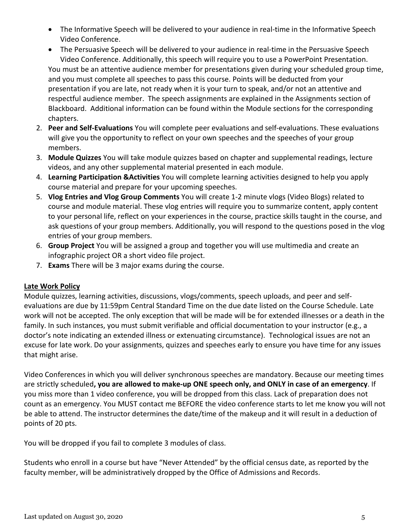- The Informative Speech will be delivered to your audience in real-time in the Informative Speech Video Conference.
- The Persuasive Speech will be delivered to your audience in real-time in the Persuasive Speech Video Conference. Additionally, this speech will require you to use a PowerPoint Presentation.

You must be an attentive audience member for presentations given during your scheduled group time, and you must complete all speeches to pass this course. Points will be deducted from your presentation if you are late, not ready when it is your turn to speak, and/or not an attentive and respectful audience member. The speech assignments are explained in the Assignments section of Blackboard. Additional information can be found within the Module sections for the corresponding chapters.

- 2. **Peer and Self-Evaluations** You will complete peer evaluations and self-evaluations. These evaluations will give you the opportunity to reflect on your own speeches and the speeches of your group members.
- 3. **Module Quizzes** You will take module quizzes based on chapter and supplemental readings, lecture videos, and any other supplemental material presented in each module.
- 4. **Learning Participation &Activities** You will complete learning activities designed to help you apply course material and prepare for your upcoming speeches.
- 5. **Vlog Entries and Vlog Group Comments** You will create 1-2 minute vlogs (Video Blogs) related to course and module material. These vlog entries will require you to summarize content, apply content to your personal life, reflect on your experiences in the course, practice skills taught in the course, and ask questions of your group members. Additionally, you will respond to the questions posed in the vlog entries of your group members.
- 6. **Group Project** You will be assigned a group and together you will use multimedia and create an infographic project OR a short video file project.
- 7. **Exams** There will be 3 major exams during the course.

# **Late Work Policy**

Module quizzes, learning activities, discussions, vlogs/comments, speech uploads, and peer and selfevaluations are due by 11:59pm Central Standard Time on the due date listed on the Course Schedule. Late work will not be accepted. The only exception that will be made will be for extended illnesses or a death in the family. In such instances, you must submit verifiable and official documentation to your instructor (e.g., a doctor's note indicating an extended illness or extenuating circumstance). Technological issues are not an excuse for late work. Do your assignments, quizzes and speeches early to ensure you have time for any issues that might arise.

Video Conferences in which you will deliver synchronous speeches are mandatory. Because our meeting times are strictly scheduled**, you are allowed to make-up ONE speech only, and ONLY in case of an emergency**. If you miss more than 1 video conference, you will be dropped from this class. Lack of preparation does not count as an emergency. You MUST contact me BEFORE the video conference starts to let me know you will not be able to attend. The instructor determines the date/time of the makeup and it will result in a deduction of points of 20 pts.

You will be dropped if you fail to complete 3 modules of class.

Students who enroll in a course but have "Never Attended" by the official census date, as reported by the faculty member, will be administratively dropped by the Office of Admissions and Records.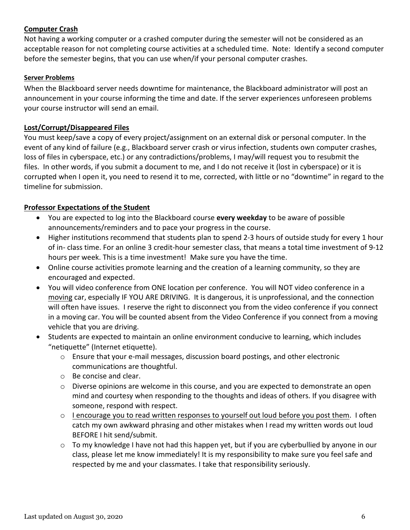# **Computer Crash**

Not having a working computer or a crashed computer during the semester will not be considered as an acceptable reason for not completing course activities at a scheduled time. Note: Identify a second computer before the semester begins, that you can use when/if your personal computer crashes.

### **Server Problems**

When the Blackboard server needs downtime for maintenance, the Blackboard administrator will post an announcement in your course informing the time and date. If the server experiences unforeseen problems your course instructor will send an email.

## **Lost/Corrupt/Disappeared Files**

You must keep/save a copy of every project/assignment on an external disk or personal computer. In the event of any kind of failure (e.g., Blackboard server crash or virus infection, students own computer crashes, loss of files in cyberspace, etc.) or any contradictions/problems, I may/will request you to resubmit the files. In other words, if you submit a document to me, and I do not receive it (lost in cyberspace) or it is corrupted when I open it, you need to resend it to me, corrected, with little or no "downtime" in regard to the timeline for submission.

## **Professor Expectations of the Student**

- You are expected to log into the Blackboard course **every weekday** to be aware of possible announcements/reminders and to pace your progress in the course.
- Higher institutions recommend that students plan to spend 2-3 hours of outside study for every 1 hour of in- class time. For an online 3 credit-hour semester class, that means a total time investment of 9-12 hours per week. This is a time investment! Make sure you have the time.
- Online course activities promote learning and the creation of a learning community, so they are encouraged and expected.
- You will video conference from ONE location per conference. You will NOT video conference in a moving car, especially IF YOU ARE DRIVING. It is dangerous, it is unprofessional, and the connection will often have issues. I reserve the right to disconnect you from the video conference if you connect in a moving car. You will be counted absent from the Video Conference if you connect from a moving vehicle that you are driving.
- Students are expected to maintain an online environment conducive to learning, which includes "netiquette" (Internet etiquette).
	- o Ensure that your e-mail messages, discussion board postings, and other electronic communications are thoughtful.
	- o Be concise and clear.
	- o Diverse opinions are welcome in this course, and you are expected to demonstrate an open mind and courtesy when responding to the thoughts and ideas of others. If you disagree with someone, respond with respect.
	- o I encourage you to read written responses to yourself out loud before you post them. I often catch my own awkward phrasing and other mistakes when I read my written words out loud BEFORE I hit send/submit.
	- $\circ$  To my knowledge I have not had this happen yet, but if you are cyberbullied by anyone in our class, please let me know immediately! It is my responsibility to make sure you feel safe and respected by me and your classmates. I take that responsibility seriously.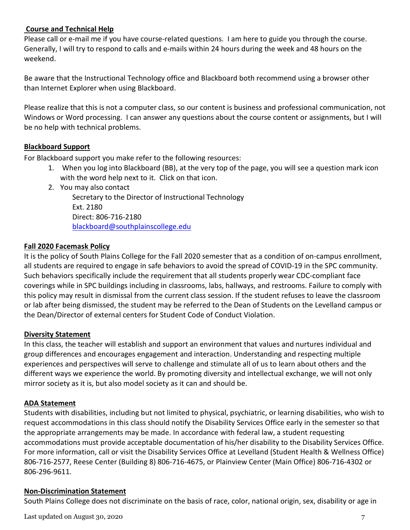# **Course and Technical Help**

Please call or e-mail me if you have course-related questions. I am here to guide you through the course. Generally, I will try to respond to calls and e-mails within 24 hours during the week and 48 hours on the weekend.

Be aware that the Instructional Technology office and Blackboard both recommend using a browser other than Internet Explorer when using Blackboard.

Please realize that this is not a computer class, so our content is business and professional communication, not Windows or Word processing. I can answer any questions about the course content or assignments, but I will be no help with technical problems.

## **Blackboard Support**

For Blackboard support you make refer to the following resources:

- 1. When you log into Blackboard (BB), at the very top of the page, you will see a question mark icon with the word help next to it. Click on that icon.
- 2. You may also contact

Secretary to the Director of Instructional Technology Ext. 2180 Direct: 806-716-2180 [blackboard@southplainscollege.edu](mailto:jetucker@southplainscollege.edu)

# **Fall 2020 Facemask Policy**

It is the policy of South Plains College for the Fall 2020 semester that as a condition of on-campus enrollment, all students are required to engage in safe behaviors to avoid the spread of COVID-19 in the SPC community. Such behaviors specifically include the requirement that all students properly wear CDC-compliant face coverings while in SPC buildings including in classrooms, labs, hallways, and restrooms. Failure to comply with this policy may result in dismissal from the current class session. If the student refuses to leave the classroom or lab after being dismissed, the student may be referred to the Dean of Students on the Levelland campus or the Dean/Director of external centers for Student Code of Conduct Violation.

#### **Diversity Statement**

In this class, the teacher will establish and support an environment that values and nurtures individual and group differences and encourages engagement and interaction. Understanding and respecting multiple experiences and perspectives will serve to challenge and stimulate all of us to learn about others and the different ways we experience the world. By promoting diversity and intellectual exchange, we will not only mirror society as it is, but also model society as it can and should be.

# **ADA Statement**

Students with disabilities, including but not limited to physical, psychiatric, or learning disabilities, who wish to request accommodations in this class should notify the Disability Services Office early in the semester so that the appropriate arrangements may be made. In accordance with federal law, a student requesting accommodations must provide acceptable documentation of his/her disability to the Disability Services Office. For more information, call or visit the Disability Services Office at Levelland (Student Health & Wellness Office) 806-716-2577, Reese Center (Building 8) 806-716-4675, or Plainview Center (Main Office) 806-716-4302 or 806-296-9611.

# **Non-Discrimination Statement**

South Plains College does not discriminate on the basis of race, color, national origin, sex, disability or age in

Last updated on August 30, 2020 **7** 7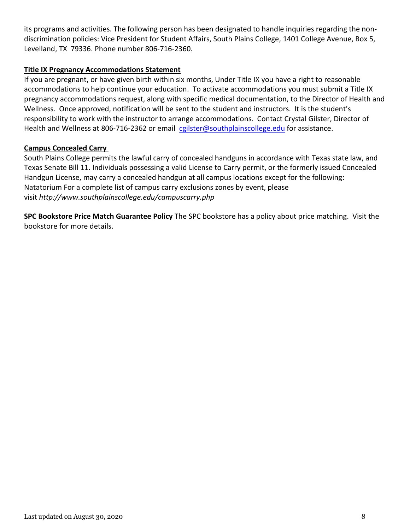its programs and activities. The following person has been designated to handle inquiries regarding the nondiscrimination policies: Vice President for Student Affairs, South Plains College, 1401 College Avenue, Box 5, Levelland, TX 79336. Phone number 806-716-2360.

## **Title IX Pregnancy Accommodations Statement**

If you are pregnant, or have given birth within six months, Under Title IX you have a right to reasonable accommodations to help continue your education. To activate accommodations you must submit a Title IX pregnancy accommodations request, along with specific medical documentation, to the Director of Health and Wellness. Once approved, notification will be sent to the student and instructors. It is the student's responsibility to work with the instructor to arrange accommodations. Contact Crystal Gilster, Director of Health and Wellness at 806-716-2362 or email [cgilster@southplainscollege.edu](mailto:cgilster@southplainscollege.edu) for assistance.

## **Campus Concealed Carry**

South Plains College permits the lawful carry of concealed handguns in accordance with Texas state law, and Texas Senate Bill 11. Individuals possessing a valid License to Carry permit, or the formerly issued Concealed Handgun License, may carry a concealed handgun at all campus locations except for the following: Natatorium For a complete list of campus carry exclusions zones by event, please visit *http://www.southplainscollege.edu/campuscarry.php*

**SPC Bookstore Price Match Guarantee Policy** The SPC bookstore has a policy about price matching. Visit the bookstore for more details.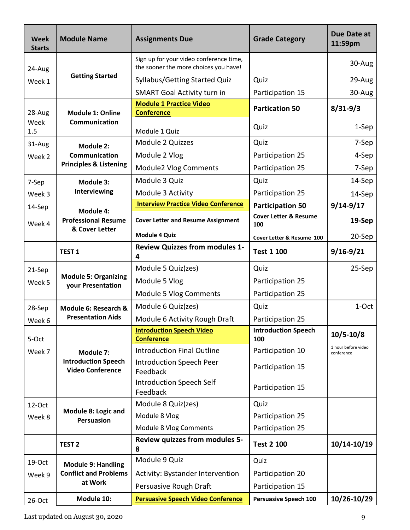| <b>Week</b><br><b>Starts</b> | <b>Module Name</b>                                                   | <b>Assignments Due</b>                                                           | <b>Grade Category</b>                   | Due Date at<br>11:59pm |
|------------------------------|----------------------------------------------------------------------|----------------------------------------------------------------------------------|-----------------------------------------|------------------------|
| 24-Aug                       | <b>Getting Started</b>                                               | Sign up for your video conference time,<br>the sooner the more choices you have! |                                         | 30-Aug                 |
| Week 1                       |                                                                      | Syllabus/Getting Started Quiz                                                    | Quiz                                    | 29-Aug                 |
|                              |                                                                      | <b>SMART Goal Activity turn in</b>                                               | Participation 15                        | 30-Aug                 |
|                              |                                                                      | <b>Module 1 Practice Video</b>                                                   | <b>Partication 50</b>                   | $8/31 - 9/3$           |
| 28-Aug<br>Week               | <b>Module 1: Online</b><br>Communication                             | <b>Conference</b>                                                                |                                         |                        |
| 1.5                          |                                                                      | Module 1 Quiz                                                                    | Quiz                                    | 1-Sep                  |
| 31-Aug                       | <b>Module 2:</b>                                                     | Module 2 Quizzes                                                                 | Quiz                                    | 7-Sep                  |
| Week 2                       | Communication<br><b>Principles &amp; Listening</b>                   | Module 2 Vlog                                                                    | Participation 25                        | 4-Sep                  |
|                              |                                                                      | <b>Module2 Vlog Comments</b>                                                     | Participation 25                        | 7-Sep                  |
| 7-Sep                        | <b>Module 3:</b>                                                     | Module 3 Quiz                                                                    | Quiz                                    | 14-Sep                 |
| Week 3                       | Interviewing                                                         | Module 3 Activity                                                                | Participation 25                        | 14-Sep                 |
| 14-Sep                       |                                                                      | <b>Interview Practice Video Conference</b>                                       | <b>Participation 50</b>                 | $9/14 - 9/17$          |
| Week 4                       | <b>Module 4:</b><br><b>Professional Resume</b><br>& Cover Letter     | <b>Cover Letter and Resume Assignment</b>                                        | <b>Cover Letter &amp; Resume</b><br>100 | 19-Sep                 |
|                              |                                                                      | <b>Module 4 Quiz</b>                                                             | Cover Letter & Resume 100               | 20-Sep                 |
|                              | <b>TEST 1</b>                                                        | <b>Review Quizzes from modules 1-</b><br>4                                       | <b>Test 1 100</b>                       | $9/16 - 9/21$          |
| 21-Sep                       |                                                                      | Module 5 Quiz(zes)                                                               | Quiz                                    | 25-Sep                 |
| Week 5                       | <b>Module 5: Organizing</b><br>your Presentation                     | Module 5 Vlog                                                                    | Participation 25                        |                        |
|                              |                                                                      | Module 5 Vlog Comments                                                           | Participation 25                        |                        |
| 28-Sep                       | Module 6: Research &                                                 | Module 6 Quiz(zes)                                                               | Quiz                                    | 1-Oct                  |
| Week 6                       | <b>Presentation Aids</b>                                             | Module 6 Activity Rough Draft                                                    | Participation 25                        |                        |
|                              |                                                                      | <b>Introduction Speech Video</b>                                                 | <b>Introduction Speech</b>              | $10/5 - 10/8$          |
| 5-Oct                        |                                                                      | <b>Conference</b><br><b>Introduction Final Outline</b>                           | 100<br>Participation 10                 | 1 hour before video    |
| Week 7                       | Module 7:<br><b>Introduction Speech</b><br><b>Video Conference</b>   | Introduction Speech Peer<br>Feedback                                             | Participation 15                        | conference             |
|                              |                                                                      | <b>Introduction Speech Self</b><br>Feedback                                      | Participation 15                        |                        |
| 12-Oct                       | Module 8: Logic and<br><b>Persuasion</b>                             | Module 8 Quiz(zes)                                                               | Quiz                                    |                        |
| Week 8                       |                                                                      | Module 8 Vlog                                                                    | Participation 25                        |                        |
|                              |                                                                      | Module 8 Vlog Comments                                                           | Participation 25                        |                        |
|                              | <b>TEST 2</b>                                                        | <b>Review quizzes from modules 5-</b><br>8                                       | <b>Test 2 100</b>                       | 10/14-10/19            |
| 19-Oct                       | <b>Module 9: Handling</b><br><b>Conflict and Problems</b><br>at Work | Module 9 Quiz                                                                    | Quiz                                    |                        |
| Week 9                       |                                                                      | Activity: Bystander Intervention                                                 | Participation 20                        |                        |
|                              |                                                                      | Persuasive Rough Draft                                                           | Participation 15                        |                        |
| 26-Oct                       | Module 10:                                                           | <b>Persuasive Speech Video Conference</b>                                        | <b>Persuasive Speech 100</b>            | 10/26-10/29            |